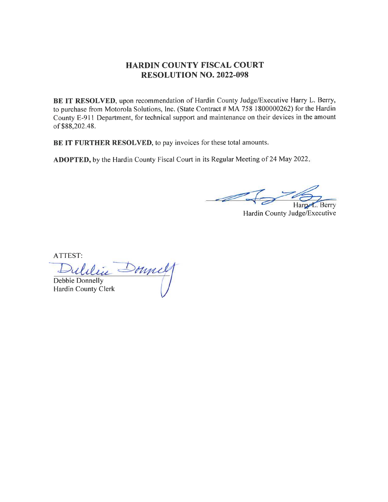## HARDIN COUNTY FISCAL COURT RESOLUTION NO. 2022.098

BE IT RESOLVED, upon recommendation of Hardin County Judge/Executive Harry L. Berry, to purchase from Motorola Solutions, Inc. (State Contract # MA 758 I 800000262) for the Hardin County E-911 Department, for technical support and maintenance on their devices in the amount of \$88,202.48.

BE IT FURTHER RESOLVED, to pay invoices for these total amounts.

ADOPTED, by the Hardin County Fiscal Court in its Regular Meeting of 24 May 2022.

Berry Harry

Hardin County Judge/Executive

ATTEST:

mul Debbie Donnelly Hardin County Clerk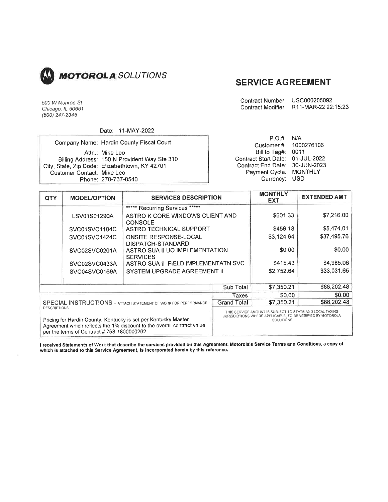

# SERVICE AGREEMENT

Contract Number: usc000205092 Contract Modifier: R11-MAR-22 22:15:23

Chicago, lL 60661 (800) 247-2346

500 W Monroe St

#### Date: 11-MAY-2022

|                            |                                                | P.O.# N/A                        |  |
|----------------------------|------------------------------------------------|----------------------------------|--|
|                            | Company Name: Hardin County Fiscal Court       | Customer #: 1000276106           |  |
|                            | Attn.: Mike Leo                                | Bill to Tag#: $0011$             |  |
|                            | Billing Address: 150 N Provident Way Ste 310   | Contract Start Date: 01-JUL-2022 |  |
|                            | City, State, Zip Code: Elizabethtown, KY 42701 | Contract End Date: 30-JUN-2023   |  |
| Customer Contact: Mike Leo |                                                | Payment Cycle: MONTHLY           |  |
|                            | Phone: 270-737-0540                            | Currency: USD                    |  |

| <b>QTY</b>                                                                                                                                                                                                   | <b>MODEL/OPTION</b> | <b>SERVICES DESCRIPTION</b>                       |                                                                                                                                            | <b>MONTHLY</b><br><b>EXT</b> | <b>EXTENDED AMT</b> |
|--------------------------------------------------------------------------------------------------------------------------------------------------------------------------------------------------------------|---------------------|---------------------------------------------------|--------------------------------------------------------------------------------------------------------------------------------------------|------------------------------|---------------------|
|                                                                                                                                                                                                              |                     | ****** Recurring Services *****                   |                                                                                                                                            |                              |                     |
|                                                                                                                                                                                                              | LSV01S01290A        | ASTRO K CORE WINDOWS CLIENT AND<br><b>CONSOLE</b> |                                                                                                                                            | \$601.33                     | \$7,216,00          |
|                                                                                                                                                                                                              | SVC01SVC1104C       | ASTRO TECHNICAL SUPPORT                           | \$456.18                                                                                                                                   | \$5,474.01                   |                     |
|                                                                                                                                                                                                              | SVC01SVC1424C       | <b>ONSITE RESPONSE-LOCAL</b><br>DISPATCH-STANDARD |                                                                                                                                            | \$3,124.64                   | \$37,495.76         |
|                                                                                                                                                                                                              | SVC02SVC0201A       | ASTRO SUA II UO IMPLEMENTATION<br><b>SERVICES</b> |                                                                                                                                            | \$0.00                       | \$0.00              |
|                                                                                                                                                                                                              | SVC02SVC0433A       | \$415.43<br>ASTRO SUA II FIELD IMPLEMENTATN SVC   |                                                                                                                                            | \$4,985.06                   |                     |
|                                                                                                                                                                                                              | SVC04SVC0169A       | <b>SYSTEM UPGRADE AGREEMENT II</b>                |                                                                                                                                            | \$2.752.64                   | \$33,031.65         |
|                                                                                                                                                                                                              |                     |                                                   | Sub Total                                                                                                                                  | \$7,350.21                   | \$88,202.48         |
| <b>SPECIAL INSTRUCTIONS - ATTACH STATEMENT OF WORK FOR PERFORMANCE</b>                                                                                                                                       |                     | Taxes                                             | \$0.00                                                                                                                                     | \$0.00                       |                     |
|                                                                                                                                                                                                              |                     | <b>Grand Total</b>                                | \$7,350.21                                                                                                                                 | \$88,202.48                  |                     |
| <b>DESCRIPTIONS</b><br>Pricing for Hardin County, Kentucky is set per Kentucky Master<br>Agreement which reflects the 1% discount to the overall contract value<br>per the terms of Contract #758-1800000262 |                     |                                                   | THIS SERVICE AMOUNT IS SUBJECT TO STATE AND LOCAL TAXING<br>JURISDICTIONS WHERE APPLICABLE, TO BE VERIFIED BY MOTOROLA<br><b>SOLUTIONS</b> |                              |                     |

I received Statements of Work that describe the services provided on this Agreement. Motorola's Service Terms and Conditions, a copy of which is attached to this Servlce Agreement, is incorporated hereln by this reference.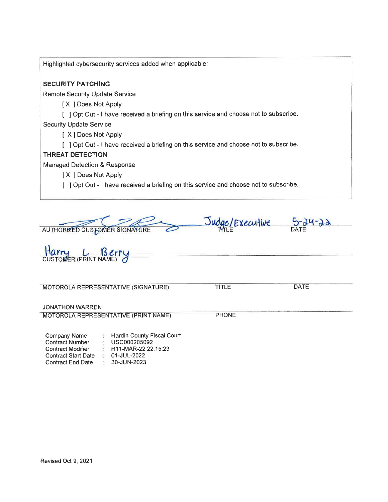| Highlighted cybersecurity services added when applicable:                             |
|---------------------------------------------------------------------------------------|
| <b>SECURITY PATCHING</b>                                                              |
| <b>Remote Security Update Service</b>                                                 |
| [X ] Does Not Apply                                                                   |
| [ ] Opt Out - I have received a briefing on this service and choose not to subscribe. |
| <b>Security Update Service</b>                                                        |
| [ X ] Does Not Apply                                                                  |
| [ ] Opt Out - I have received a briefing on this service and choose not to subscribe. |
| <b>THREAT DETECTION</b>                                                               |
| <b>Managed Detection &amp; Response</b>                                               |
| [X ] Does Not Apply                                                                   |
| [ ] Opt Out - I have received a briefing on this service and choose not to subscribe. |
|                                                                                       |

Judge/Executive  $5-24-22$ AUTHORIZED CUSTOMER SIGNATURE

Harry L. Berry MOTOROLA REPRESENTATIVE (SIGNATURE) JONATHON WARREN TITLE DATE MOTOROLA REPRESENTATIVE (PRINT NAME) PHONE Company Name **Hardin County Fiscal Court** 

| Halulli Ouulity Houal Ouul       |
|----------------------------------|
| USC000205092                     |
| R <sub>11</sub> -MAR-22 22:15:23 |
| 01-JUL-2022                      |
| 30-JUN-2023                      |
|                                  |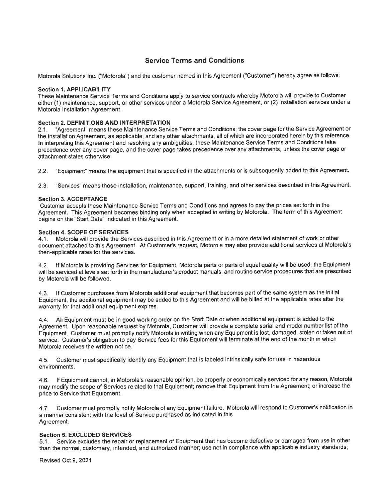### Service Terms and Gonditions

Motorola Solutions Inc. ("Motorola") and the customer named in this Agreement ("Customer") hereby agree as follows:

#### Section 1. APPLICABILITY

These Maintenance Service Terms and Conditions apply to service contracts whereby Motorola will provide to Customer either (1) maintenance, support, or other services under a Motorola Service Agreement, or (2) installation services under a Motorola Installation Agreement.

# Section 2. DEFINITIONS AND INTERPRETATION 2.1. "Agreement" means these Maintenance Servi

2.1 . "Agreement" means these Maintenance Service Terms and Conditions; the cover page for the Service Agreement or the lnstallation Agreement, as applicable; and any other attachments, all of which are incorporated herein by this reference. ln interpreting this Agreement and resolving any ambiguities, these Maintenance Service Terms and Conditions take precedence over any cover page, and the cover page takes precedence over any attachments, unless the cover page or attachment states otherwise.

2.2. "Equipment" means the equipment that is specified in the attachments or is subsequently added to this Agreement.

2.3. "services" means those installation, maintenance, support, training, and other services described in this Agreement.

#### Section 3. ACCEPTANCE

Customer accepts these Maintenance Service Terms and Conditions and agrees to pay the prices set forth in the Agreement. This Agreement becomes binding only when accepted in writing by Motorola. The term of this Agreement begins on the "Start Date" indicated in this Agreement.

#### Section 4. SCOPE OF SERVICES

4.1 . Motorola will provide the Services described in this Agreement or in a more detailed statement of work or other document attached to this Agreement. At Customer's request, Motorola may also provide additional services at Motorola's then-applicable rates for the services.

4.2. lf Motorola is providing Services for Equipment, Motorola parts or parts of equal quality will be used; the Equipment will be serviced at levels set forth in the manufacturer's product manuals; and routine service procedures that are prescribed by Motorola will be followed.

4.3. lf Customer purchases from Motorola additional eguipment that becomes part of the same system as the initial Equipment, the additional equipment may be added to this Agreement and will be billed at the applicable rates after the warranty for that additional equipment expires.

4.4. All Fquipment must be in good working order on the Start Date or when additional equipment is added to the Agreement. Upon reasonable request by Motorola, Customer will provide a complete serial and model number list of the Equipment. Customer must promptly notify Motorola in writing when any Equipment is lost, damaged, stolen or taken out of service. Customer's obligation to pay Service fees for this Equipment will terminate at the end of the month in which Motorola receives the written notice.

4.5. Customer must specifically identify any Equipment that is labeled intrinsically safe for use in hazardous environments,

4.6. lf Equipment cannot, in Motorola's reasonable opinion, be properly or economically serviced for any reason, Motorola may modify the scope of Services related to that Equipment; remove that Equipment from the Agreement: or increase the price to Service that Equipment.

4.7 . Customer must promptly notify Motorola of any Equipment failure. Motorola will respond to Customer's notification in a manner consistent with the level of Service purchased as indicated in this Agreement.

#### Section 5. EXCLUDED SERVIGES

5.1. Service excludes the repair or replacement of Equipment that has become defective or damaged from use in other than the normal, customary, intended, and authorized manner; use not in compliance with applicable industry standards,

Revised Oct 9, 2021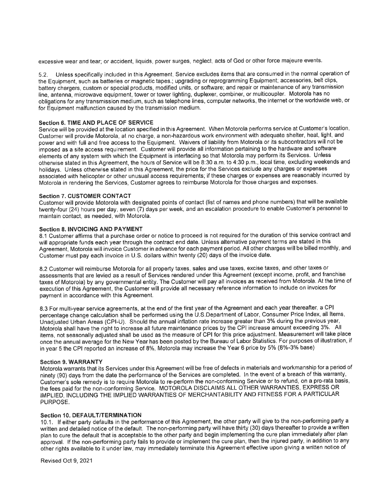excessive wear and tear; or accident, liquids, power surges, neglect, acts of God or other force majeure events.

5,2. Unless specifically included in this Agreement, Service excludes items that are consumed in the normal operation of the Equipment, such as batteries or magnetic tapes.; upgrading or reprogramming Equipment; accessories, belt clips, battery chargers, custom or special products, modified units, or software; and repair or maintenance of any transmission line, antenna, microwave equipment, tower or tower lighting, duplexer, combiner, or multicoupler. Motorola has no obligations for any transmission medium, such as telephone lines, computer networks, the internet or the worldwide web, or for Equipment malfunction caused by the transmission medium.

#### Section 6. TIME AND PLACE OF SERVICE

Service will be provided at the location specified in this Agreement. When Motorola performs service at Customer's location, Customer will provide Motorola, at no charge, a non-hazardous work environment with adequate shelter, heat, light, and power and with full and free access to the Equipment. Waivers of liability from Motorola or its subcontractors will not be imposed as a site access requirement. Customer will provide all information pertaining to the hardware and software elements of any system with which the Equipment is interfacing so that Motorola may perform its Services. Unless otherwise stated in this Agreement, the hours of Service will be 8:30 a.m. to 4:30 p.m., local time, excluding weekends and holidays. Unless otherwise stated in this Agreement, the price for the Services exclude any charges or expenses associated with helicopter or other unusual access requirements; if these charges or expenses are reasonably incurred by Motorola in rendering the Services, Customer agrees to reimburse Motorola for those charges and expenses.

#### Section 7. CUSTOMER CONTACT

Customer will provide Motorola with designated points of contact (list of names and phone numbers) that will be available twenty-four (24) hours per day, seven (7) days per week, and an escalation procedure to enable Customer's personnel to maintain contact, as needed, with Motorola.

#### Section 8. INVOICING AND PAYMENT

8.1 Customer affirms that a purchase order or notice to proceed is not required for the duration of this service contract and will appropriate funds each year through the contract end date. Unless alternative payment terms are stated in this Agreement, Motorola will invoice Customer in advance for each payment period. All other charges will be billed monthly, and Customer must pay each invoice in U.S. dollars within twenty (20) days of the invoice date.

8.2 Customer will reimburse Motorola for all property taxes, sales and use taxes, excise taxes, and other taxes or assessments that are levied as a result of Services rendered under this Agreement (except income, profit, and franchise taxes of Motorola) by any governmental entity. The Customer will pay all invoices as received from Motorola. At the time of execution of this Agreement, the Customer will provide all necessary reference information to include on invoices for payment in accordance with this Agreement.

8.3 For multi-year service agreements, at the end of the first year of the Agreement and each year thereafter, a CPI percentage change calculation shall be performed using the U.S.Department of Labor, Consumer Price lndex, all ltems, Unadjusted Urban Areas (CPl-U). Should the annual inflation rate increase greater than 3% during the previous year, Motorola shall have the right to increase all future maintenance prices by the CPI increase amount exceeding 3%. All items, not seasonally adjusted shall be used as the measure of CPI for this price adjustment. Measurement will take place once the annual average for the New Year has been posted by the Bureau of Labor Statistics. For purposes of illustration, if in year 5 the CPI reported an increase of 8%, Motorola may increase the Year 6 price by 5% (8%-3% base)

#### Section 9. WARRANTY

Motorola warrants that its Services under this Agreement will be free of defects in materials and workmanship for a period of ninety (90) days from the date the performance of the Services are completed. In the event of a breach of this warranty, Customer's sole remedy is to require Motorola to re-perform the non-conforming Service or to refund, on a pro-rata basis, the fees paid for the non-conforming Service. MOTOROLA DISCLAIMS ALL OTHER WARRANTIES, EXPRESS OR IMPLIED, INCLUDING THE IMPLIED WARRANTIES OF MERCHANTABILITY AND FITNESS FOR A PARTICULAR PURPOSE,

#### Section 10. DEFAULT/TERMINATION

10.1 . lf either party defaults in the performance of this Agreement, the other party will give to the non-performing party <sup>a</sup> written and detailed notice of the default. The non-performing party will have thirty (30) days thereafter to provide a written plan to cure the default that is acceptable to the other party and begin implementing the cure plan immediately after plan approval. lf the non-performing party fails to provide or implement the cure plan, then the injured party, in addition to any other rights available to it under law, may immediately terminate this Agreement effective upon giving a written notice of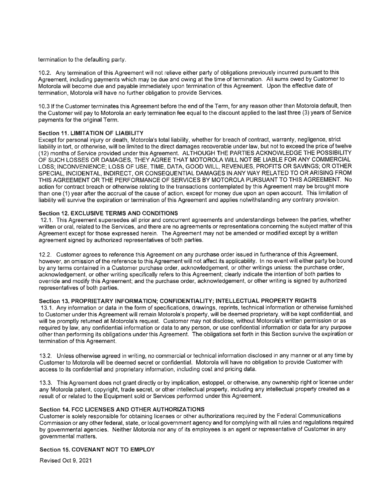termination to the defaulting party.

10.2. Any termination of this Agreement will not relieve either party of obligations previously incurred pursuant to this Agreement, including payments which may be due and owing at the time of termination. All sums owed by Customer to Motorola will become due and payable immediately upon termination of this Agreement. Upon the effective date of termination, Motorola will have no further obligation to provide Services.

10.3 lf the Customer terminates this Agreement before the end of the Term, for any reason other than Motorola default, then the Customer will pay to Motorola an early termination fee equal to the discount applied to the last three (3) years of Service payments for the original Term.

#### Section 11. LIMITATION OF LIABILITY

Except for personal injury or death, Motorola's total liability, whether for breach of contract, warranty, negligence, strict liability in tort, or otherwise, will be limited to the direct damages recoverable under law, but not to exceed the price of twelve (12) months of Service provided under this Agreement. ALTHOUGH THE PARTIES ACKNOWLEDGE THE POSSIBILITY OF SUCH LOSSES OR DAMAGES, THEY AGREE THAT MOTOROLA WILL NOT BE LIABLE FOR ANY COMMERCIAL LOSS; INCONVENIENCE; LOSS OF USE, TIME, DATA, GOOD WILL, REVENUES, PROFITS OR SAVINGS; OR OTHER SPECIAL, INCIDENTAL, INDIRECT, OR CONSEQUENTIAL DAMAGES IN ANY WAY RELATED TO OR ARISING FROM THIS AGREEMENT OR THE PERFORMANCE OF SERVICES BY MOTOROLA PURSUANT TO THIS AGREEMENT. NO action for contract breach or otherwise relating to the transactions contemplated by this Agreement may be brought more than one (1) year after the accrual of the cause of action, except for money due upon an open account. This limitation of liability will survive the expiration or termination of this Agreement and applies notwithstanding any contrary provision.

#### Section 12. EXCLUSIVE TERMS AND CONDITIONS

12.1. This Agreement supersedes all prior and concurrent agreements and understandings between the parties, whether written or oral, related to the Services, and there are no agreements or representations concerning the subject matter of this Agreement except for those expressed herein. The Agreement may not be amended or modified except by a written agreement signed by authorized representatives of both parties.

12.2. Customer agrees to reference this Agreement on any purchase order issued in fuilherance of this Agreement, however, an omission of the reference to this Agreement will not affect its applicability. ln no event will either party be bound by any terms contained in a Customer purchase order, acknowledgement, or other writings unless: the purchase order, acknowledgement, or other writing specifically refers to this Agreement; clearly indicate the intention of both parties to override and modify this Agreement: and the purchase order, acknowledgement, or other writing is signed by authorized representatives of both parties.

#### Section 13. PROPRIETARY INFORMATION; CONFIDENTIALITY; INTELLECTUAL PROPERTY RIGHTS

13.1. Any information or data in the form of specifications, drawings, reprints, technical information or otherwise furnished to Customer under this Agreement will remain Motorola's property, will be deemed proprietary, will be kept confidential, and will be promptly returned at Motorola's request. Customer may not disclose, without Motorola's written permission or as required by law, any confidential information or data to any person, or use confidential information or data for any purpose other than performing its obligations under this Agreement. The obligations set forth in this Section survive the expiration or termination of this Agreement.

13.2. Unless otherwise agreed in writing, no commercial or technical information disclosed in any manner or at any time by Customer to Motorola will be deemed secret or confidential. Motorola will have no obligation to provide Customer with access to its confidential and proprietary information, including cost and pricing data.

13.3. This Agreement does not grant directly or by implication, estoppel, or othenuise, any ownership right or license under any Motorola patent, copyright, trade secret, or other intellectual property, including any intellectual property created as a result of or related to the Equipment sold or Services performed under this Agreement.

#### Section 14. FCC LICENSES AND OTHER AUTHORIZATIONS

Customer is solely responsible for obtaining licenses or other authorizations required by the Federal Communications Commission or any other federal, state, or local government agency and for complying with all rules and regulations required by governmental agencies. Neither Motorola nor any of its employees is an agent or representative of Customer in any governmental matters.

#### Section 15. COVENANT NOT TO EMPLOY

Revised Oct 9, 2021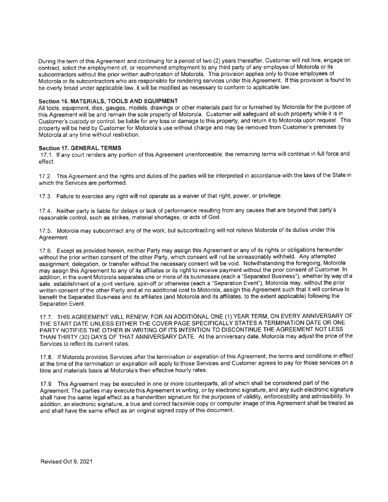During the term of this Agreement and continuing for a period of two (2) years thereafter, Customer will not hire, engage on contract, solicit the employment of, or recommend employment to any third party of any employee of Motorola or its subcontractors without the prior written authorization of Motorola. This provision applies only to those employees of Motorola or its subcontractors who are responsible for rendering services under this Agreement, lf this provision is found to be overly broad under applicable law, it will be modified as necessary to conform to applicable law.

#### Section 16. MATERIALS, TOOLS AND EQUIPMENT

All tools, equipment, dies, gauges, models, drawings or other materials paid for or furnished by Motorola for the purpose of this Agreement will be and remain the sole property of Motorola. Customer will safeguard all such property while it is in Customer's custody or control, be liable for any loss or damage to this property, and return it to Motorola upon request. This properly will be held by Customer for Motorola's use without charge and may be removed from Customer's premises by Motorola at any time without restriction.

#### Section 17. GENERAL TERMS

17.1. If any court renders any portion of this Agreement unenforceable, the remaining terms will continue in full force and effect.

17.2. This Agreement and the rights and duties of the parties will be interpreted in accordance with the laws of the State in which the Services are performed.

17.3. Failure to exercise any right will not operate as a waiver of that right, power, or privilege.

17.4. Neither party is liable for delays or lack of performance resulting from any causes that are beyond that party's reasonable control, such as strikes, material shortages, or acts of God.

17.5. Motorola may subcontract any of the work, but subcontracting will not relieve Motorola of its duties under this Agreement.

17.6. Except as provided herein, neither Party may assign this Agreement or any of its rights or obligations hereunder without the prior written consent of the other Party, which consent will not be unreasonably withheld. Any attempted assignment, delegation, or transfer without the necessary consent will be void. Notwithstanding the foregoing, Motorola may assign this Agreement to any of its affiliates or its right to receive payment without the prior consent of Customer. ln addition, in the event Motorola separates one or more of its businesses (each a "Separated Business"), whether by way of a sale, establishment of a joint venture, spin-off or otherwise (each a "Separation Event"), Motorola may, without the prior written consent of the other Party and at no additional cost to Motorola, assign this Agreement such that it will continue to benefit the Separated Business and its affiliates (and Motorola and its affiliates, to the extent applicable) following the Separation Event.

17.7. TH|S AGREEMENT W|LL RENEW, FOR AN ADDITIONAL ONE (1) YEAR TERM, ON EVERY ANNIVERSARY OF THE START DATE UNLESS EITHER THE COVER PAGE SPECIFICALLY STATES A TERMINATION DATE OR ONE PARTY NOTIFIES THE OTHER IN WRITING OF ITS INTENTION TO DISCONTINUE THE AGREEMENT NOT LESS THAN THIRTY (30) DAYS OF THAT ANNIVERSARY DATE. At the anniversary date, Motorola may adjust the price of the Services to reflect its current rates.

17.8. lf Motorola provides Services after the termination or expiration of this Agreement, the terms and conditions in effect at the time of the termination or expiration will apply to those Services and Customer agrees to pay for those services on a time and materials basis at Motorola's then effective hourly rates.

17.9 This Agreement may be executed in one or more counterparts, all of which shall be considered part of the Agreement. The parties may execute this Agreement in writing, or by electronic signature, and any such electronic signature shall have the same legal effect as a handwritten signature for the purposes of validity, enforceability and admissibility. ln addition, an electronic signature, a true and correct facsimile copy or computer image of this Agreement shall be treated as and shall have the same effect as an original signed copy of this document.